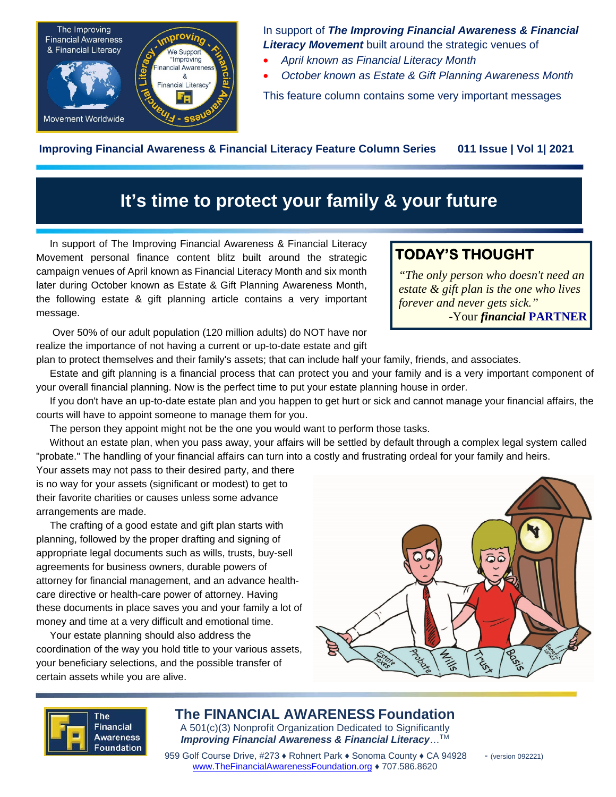

In support of *The Improving Financial Awareness & Financial Literacy Movement* built around the strategic venues of

- *April known as Financial Literacy Month*
- *October known as Estate & Gift Planning Awareness Month*

This feature column contains some very important messages

**Improving Financial Awareness & Financial Literacy Feature Column Series 011 Issue | Vol 1| 2021**

# **It's time to protect your family & your future**

In support of The Improving Financial Awareness & Financial Literacy Movement personal finance content blitz built around the strategic campaign venues of April known as Financial Literacy Month and six month later during October known as Estate & Gift Planning Awareness Month, the following estate & gift planning article contains a very important message.

Over 50% of our adult population (120 million adults) do NOT have nor

**TODAY'S THOUGHT** 

*"The only person who doesn't need an estate & gift plan is the one who lives forever and never gets sick."*  -Your *financial* **PARTNER** 

realize the importance of not having a current or up-to-date estate and gift plan to protect themselves and their family's assets; that can include half your family, friends, and associates.

Estate and gift planning is a financial process that can protect you and your family and is a very important component of your overall financial planning. Now is the perfect time to put your estate planning house in order.

If you don't have an up-to-date estate plan and you happen to get hurt or sick and cannot manage your financial affairs, the courts will have to appoint someone to manage them for you.

The person they appoint might not be the one you would want to perform those tasks.

Without an estate plan, when you pass away, your affairs will be settled by default through a complex legal system called "probate." The handling of your financial affairs can turn into a costly and frustrating ordeal for your family and heirs.

Your assets may not pass to their desired party, and there is no way for your assets (significant or modest) to get to their favorite charities or causes unless some advance arrangements are made.

The crafting of a good estate and gift plan starts with planning, followed by the proper drafting and signing of appropriate legal documents such as wills, trusts, buy-sell agreements for business owners, durable powers of attorney for financial management, and an advance healthcare directive or health-care power of attorney. Having these documents in place saves you and your family a lot of money and time at a very difficult and emotional time.

Your estate planning should also address the coordination of the way you hold title to your various assets, your beneficiary selections, and the possible transfer of certain assets while you are alive.





**The FINANCIAL AWARENESS Foundation**  A 501(c)(3) Nonprofit Organization Dedicated to Significantly *Improving Financial Awareness & Financial Literacy*…TM

Foundation **Processing** Processing Processing Processing County ≯ CA 94928 - (version 092221)<br>959 Golf Course Drive, #273 ♦ Rohnert Park ♦ Sonoma County ♦ CA 94928 - (version 092221) www.TheFinancialAwarenessFoundation.org ♦ 707.586.8620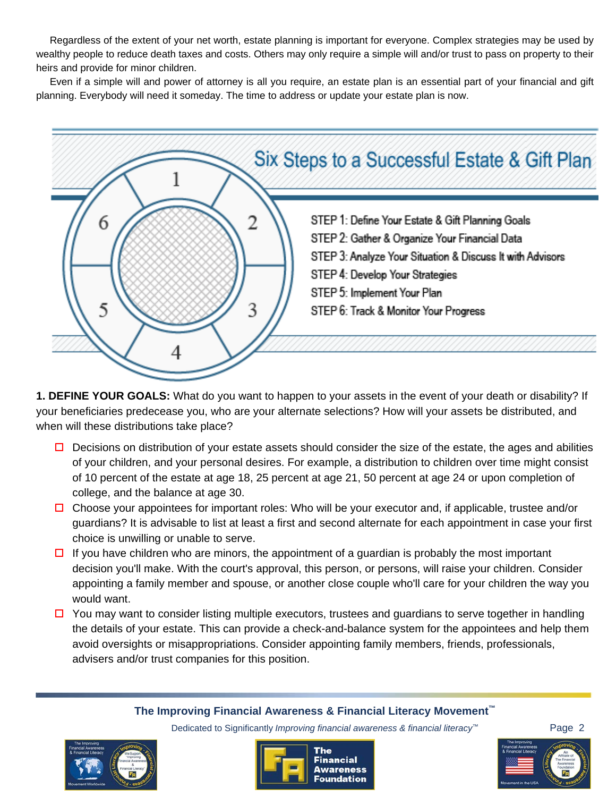Regardless of the extent of your net worth, estate planning is important for everyone. Complex strategies may be used by wealthy people to reduce death taxes and costs. Others may only require a simple will and/or trust to pass on property to their heirs and provide for minor children.

Even if a simple will and power of attorney is all you require, an estate plan is an essential part of your financial and gift planning. Everybody will need it someday. The time to address or update your estate plan is now.



**1. DEFINE YOUR GOALS:** What do you want to happen to your assets in the event of your death or disability? If your beneficiaries predecease you, who are your alternate selections? How will your assets be distributed, and when will these distributions take place?

- $\Box$  Decisions on distribution of your estate assets should consider the size of the estate, the ages and abilities of your children, and your personal desires. For example, a distribution to children over time might consist of 10 percent of the estate at age 18, 25 percent at age 21, 50 percent at age 24 or upon completion of college, and the balance at age 30.
- $\Box$  Choose your appointees for important roles: Who will be your executor and, if applicable, trustee and/or guardians? It is advisable to list at least a first and second alternate for each appointment in case your first choice is unwilling or unable to serve.
- $\Box$  If you have children who are minors, the appointment of a guardian is probably the most important decision you'll make. With the court's approval, this person, or persons, will raise your children. Consider appointing a family member and spouse, or another close couple who'll care for your children the way you would want.
- $\Box$  You may want to consider listing multiple executors, trustees and guardians to serve together in handling the details of your estate. This can provide a check-and-balance system for the appointees and help them avoid oversights or misappropriations. Consider appointing family members, friends, professionals, advisers and/or trust companies for this position.

#### **The Improving Financial Awareness & Financial Literacy Movement™**





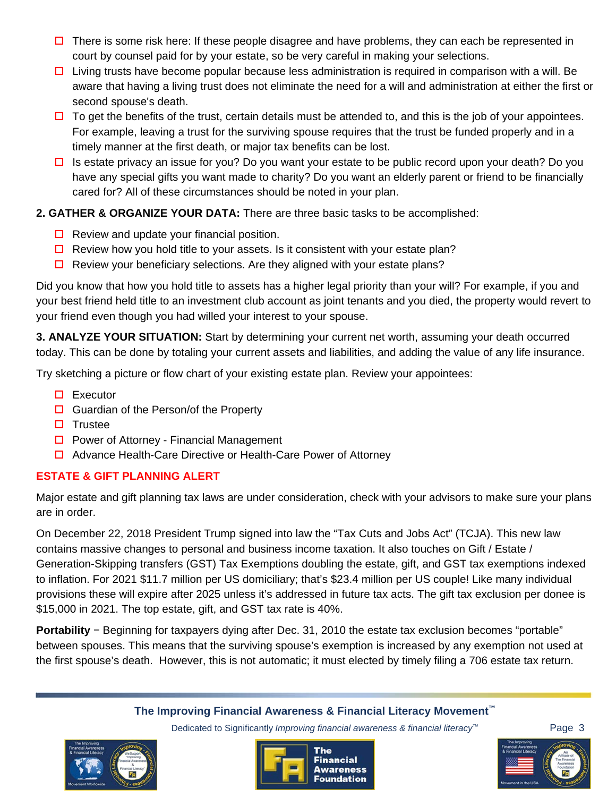- $\Box$  There is some risk here: If these people disagree and have problems, they can each be represented in court by counsel paid for by your estate, so be very careful in making your selections.
- $\Box$  Living trusts have become popular because less administration is required in comparison with a will. Be aware that having a living trust does not eliminate the need for a will and administration at either the first or second spouse's death.
- $\Box$  To get the benefits of the trust, certain details must be attended to, and this is the job of your appointees. For example, leaving a trust for the surviving spouse requires that the trust be funded properly and in a timely manner at the first death, or major tax benefits can be lost.
- $\Box$  Is estate privacy an issue for you? Do you want your estate to be public record upon your death? Do you have any special gifts you want made to charity? Do you want an elderly parent or friend to be financially cared for? All of these circumstances should be noted in your plan.

### **2. GATHER & ORGANIZE YOUR DATA:** There are three basic tasks to be accomplished:

- $\Box$  Review and update your financial position.
- $\Box$  Review how you hold title to your assets. Is it consistent with your estate plan?
- $\Box$  Review your beneficiary selections. Are they aligned with your estate plans?

Did you know that how you hold title to assets has a higher legal priority than your will? For example, if you and your best friend held title to an investment club account as joint tenants and you died, the property would revert to your friend even though you had willed your interest to your spouse.

**3. ANALYZE YOUR SITUATION:** Start by determining your current net worth, assuming your death occurred today. This can be done by totaling your current assets and liabilities, and adding the value of any life insurance.

Try sketching a picture or flow chart of your existing estate plan. Review your appointees:

- $\square$  Executor
- $\Box$  Guardian of the Person/of the Property
- $\Box$  Trustee
- $\Box$  Power of Attorney Financial Management
- □ Advance Health-Care Directive or Health-Care Power of Attorney

### **ESTATE & GIFT PLANNING ALERT**

Major estate and gift planning tax laws are under consideration, check with your advisors to make sure your plans are in order.

On December 22, 2018 President Trump signed into law the "Tax Cuts and Jobs Act" (TCJA). This new law contains massive changes to personal and business income taxation. It also touches on Gift / Estate / Generation-Skipping transfers (GST) Tax Exemptions doubling the estate, gift, and GST tax exemptions indexed to inflation. For 2021 \$11.7 million per US domiciliary; that's \$23.4 million per US couple! Like many individual provisions these will expire after 2025 unless it's addressed in future tax acts. The gift tax exclusion per donee is \$15,000 in 2021. The top estate, gift, and GST tax rate is 40%.

**Portability** − Beginning for taxpayers dying after Dec. 31, 2010 the estate tax exclusion becomes "portable" between spouses. This means that the surviving spouse's exemption is increased by any exemption not used at the first spouse's death. However, this is not automatic; it must elected by timely filing a 706 estate tax return.

#### **The Improving Financial Awareness & Financial Literacy Movement™**





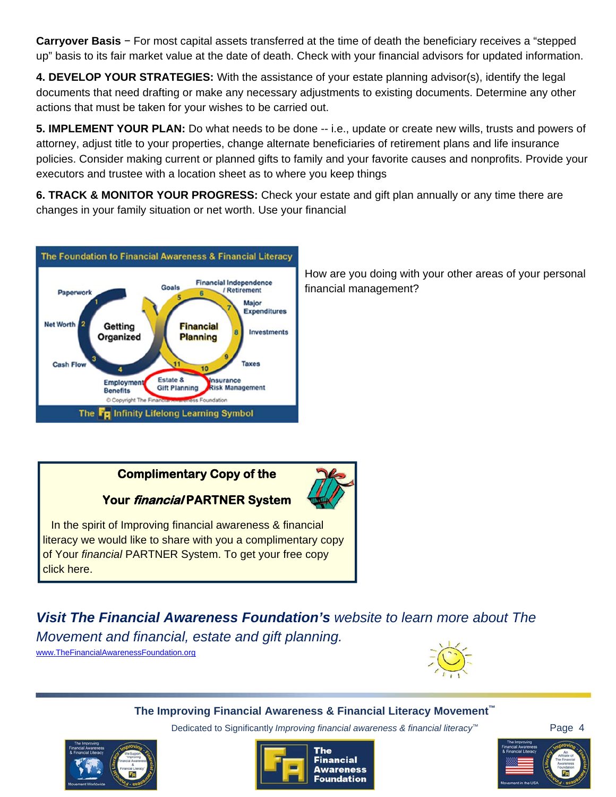**Carryover Basis** − For most capital assets transferred at the time of death the beneficiary receives a "stepped up" basis to its fair market value at the date of death. Check with your financial advisors for updated information.

**4. DEVELOP YOUR STRATEGIES:** With the assistance of your estate planning advisor(s), identify the legal documents that need drafting or make any necessary adjustments to existing documents. Determine any other actions that must be taken for your wishes to be carried out.

**5. IMPLEMENT YOUR PLAN:** Do what needs to be done -- i.e., update or create new wills, trusts and powers of attorney, adjust title to your properties, change alternate beneficiaries of retirement plans and life insurance policies. Consider making current or planned gifts to family and your favorite causes and nonprofits. Provide your executors and trustee with a location sheet as to where you keep things

**6. TRACK & MONITOR YOUR PROGRESS:** Check your estate and gift plan annually or any time there are changes in your family situation or net worth. Use your financial



How are you doing with your other areas of your personal financial management?

## **Complimentary Copy of the**

## **Your financial PARTNER System**

In the spirit of Improving financial awareness & financial literacy we would like to share with you a complimentary copy of Your *financial* PARTNER System. To get your free copy click here.

*Visit The Financial Awareness Foundation's website to learn more about The* 

*Movement and financial, estate and gift planning.* 

www.TheFinancialAwarenessFoundation.org



#### **The Improving Financial Awareness & Financial Literacy Movement™**





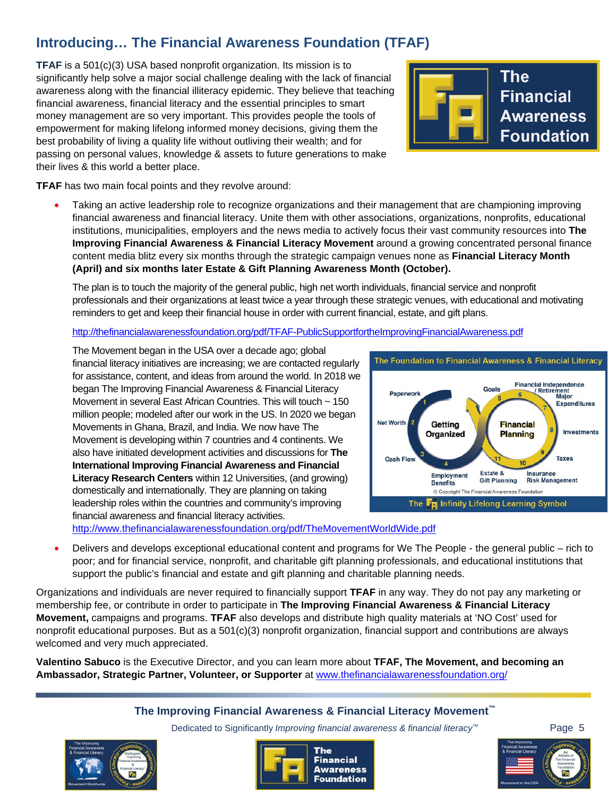## **Introducing… The Financial Awareness Foundation (TFAF)**

**TFAF** is a 501(c)(3) USA based nonprofit organization. Its mission is to significantly help solve a major social challenge dealing with the lack of financial awareness along with the financial illiteracy epidemic. They believe that teaching financial awareness, financial literacy and the essential principles to smart money management are so very important. This provides people the tools of empowerment for making lifelong informed money decisions, giving them the best probability of living a quality life without outliving their wealth; and for passing on personal values, knowledge & assets to future generations to make their lives & this world a better place.



**TFAF** has two main focal points and they revolve around:

• Taking an active leadership role to recognize organizations and their management that are championing improving financial awareness and financial literacy. Unite them with other associations, organizations, nonprofits, educational institutions, municipalities, employers and the news media to actively focus their vast community resources into **The Improving Financial Awareness & Financial Literacy Movement** around a growing concentrated personal finance content media blitz every six months through the strategic campaign venues none as **Financial Literacy Month (April) and six months later Estate & Gift Planning Awareness Month (October).**

The plan is to touch the majority of the general public, high net worth individuals, financial service and nonprofit professionals and their organizations at least twice a year through these strategic venues, with educational and motivating reminders to get and keep their financial house in order with current financial, estate, and gift plans.

#### http://thefinancialawarenessfoundation.org/pdf/TFAF-PublicSupportfortheImprovingFinancialAwareness.pdf

The Movement began in the USA over a decade ago; global financial literacy initiatives are increasing; we are contacted regularly for assistance, content, and ideas from around the world. In 2018 we began The Improving Financial Awareness & Financial Literacy Movement in several East African Countries. This will touch ~ 150 million people; modeled after our work in the US. In 2020 we began Movements in Ghana, Brazil, and India. We now have The Movement is developing within 7 countries and 4 continents. We also have initiated development activities and discussions for **The International Improving Financial Awareness and Financial Literacy Research Centers** within 12 Universities, (and growing) domestically and internationally. They are planning on taking leadership roles within the countries and community's improving financial awareness and financial literacy activities.



http://www.thefinancialawarenessfoundation.org/pdf/TheMovementWorldWide.pdf

• Delivers and develops exceptional educational content and programs for We The People - the general public – rich to poor; and for financial service, nonprofit, and charitable gift planning professionals, and educational institutions that support the public's financial and estate and gift planning and charitable planning needs.

Organizations and individuals are never required to financially support **TFAF** in any way. They do not pay any marketing or membership fee, or contribute in order to participate in **The Improving Financial Awareness & Financial Literacy Movement,** campaigns and programs. **TFAF** also develops and distribute high quality materials at 'NO Cost' used for nonprofit educational purposes. But as a 501(c)(3) nonprofit organization, financial support and contributions are always welcomed and very much appreciated.

**Valentino Sabuco** is the Executive Director, and you can learn more about **TFAF, The Movement, and becoming an Ambassador, Strategic Partner, Volunteer, or Supporter** at www.thefinancialawarenessfoundation.org/

#### **The Improving Financial Awareness & Financial Literacy Movement™**